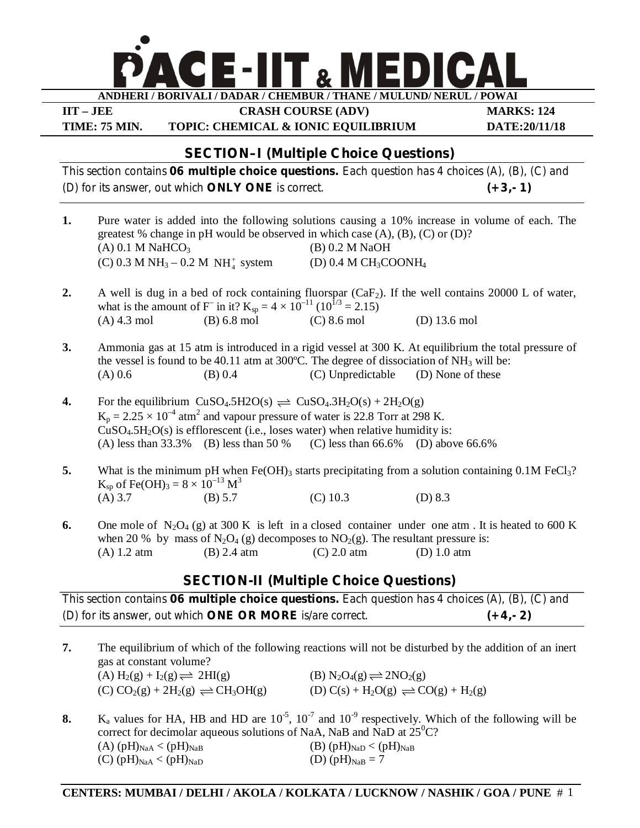

**IIT – JEE CRASH COURSE (ADV) MARKS: 124**

**TIME: 75 MIN. TOPIC: CHEMICAL & IONIC EQUILIBRIUM DATE:20/11/18**

# **SECTION–I (Multiple Choice Questions)**

This section contains **06 multiple choice questions.** Each question has 4 choices (A), (B), (C) and (D) for its answer, out which **ONLY ONE** is correct. **(+3,- 1)**

- **1.** Pure water is added into the following solutions causing a 10% increase in volume of each. The greatest % change in pH would be observed in which case  $(A)$ ,  $(B)$ ,  $(C)$  or  $(D)$ ? (A)  $0.1 M \text{ NaHCO}_3$  (B)  $0.2 M \text{ NaOH}$ (C) 0.3 M NH<sub>3</sub> – 0.2 M NH<sub>4</sub><sup>+</sup>  $(D)$  0.4 M CH<sub>3</sub>COONH<sub>4</sub>
- **2.** A well is dug in a bed of rock containing fluorspar (CaF<sub>2</sub>). If the well contains 20000 L of water, what is the amount of F<sup>-</sup> in it?  $K_{sp} = 4 \times 10^{-11} (10^{1/3} = 2.15)$ (A) 4.3 mol (B) 6.8 mol (C) 8.6 mol (D) 13.6 mol
- **3.** Ammonia gas at 15 atm is introduced in a rigid vessel at 300 K. At equilibrium the total pressure of the vessel is found to be 40.11 atm at  $300^{\circ}$ C. The degree of dissociation of NH<sub>3</sub> will be: (A)  $0.6$  (B)  $0.4$  (C) Unpredictable (D) None of these
- **4.** For the equilibrium  $CuSO_4.5H2O(s) \rightleftharpoons CuSO_4.3H_2O(s) + 2H_2O(g)$  $K_p = 2.25 \times 10^{-4}$  atm<sup>2</sup> and vapour pressure of water is 22.8 Torr at 298 K.  $CuSO<sub>4</sub>.5H<sub>2</sub>O(s)$  is efflorescent (i.e., loses water) when relative humidity is:<br>(A) less than 33.3% (B) less than 50 % (C) less than 66.6% (D) abov (A) less than 33.3% (B) less than 50 % (C) less than 66.6% (D) above 66.6%
- **5.** What is the minimum pH when Fe(OH)<sub>3</sub> starts precipitating from a solution containing 0.1M FeCl<sub>3</sub>?  $K_{sp}$  of Fe(OH)<sub>3</sub> = 8 × 10<sup>-13</sup> M<sup>3</sup> (A) 3.7 (B) 5.7 (C) 10.3 (D) 8.3
- 6. One mole of  $N_2O_4$  (g) at 300 K is left in a closed container under one atm. It is heated to 600 K when 20 % by mass of N<sub>2</sub>O<sub>4</sub> (g) decomposes to NO<sub>2</sub>(g). The resultant pressure is:<br>(A) 1.2 atm (B) 2.4 atm (C) 2.0 atm (D) 1.0 atm (A) 1.2 atm (B) 2.4 atm (C) 2.0 atm (D) 1.0 atm

# **SECTION-II (Multiple Choice Questions)**

This section contains **06 multiple choice questions.** Each question has 4 choices (A), (B), (C) and (D) for its answer, out which **ONE OR MORE** is/are correct. **(+4,- 2)**

- **7.** The equilibrium of which of the following reactions will not be disturbed by the addition of an inert gas at constant volume? (A)  $H_2(g) + I_2(g) \rightleftharpoons 2HI(g)$  (B)  $N_2O_4(g) \rightleftharpoons 2NO_2(g)$  $(C) CO<sub>2</sub>(g) + 2H<sub>2</sub>(g) \rightleftharpoons CH<sub>3</sub>OH(g)$  (D)  $C(s) + H<sub>2</sub>O(g) \rightleftharpoons CO(g) + H<sub>2</sub>(g)$
- **8.** K<sub>a</sub> values for HA, HB and HD are  $10^{-5}$ ,  $10^{-7}$  and  $10^{-9}$  respectively. Which of the following will be correct for decimolar aqueous solutions of NaA, NaB and NaD at  $25^0C$ ? (A)  $(pH)_{\text{NaA}} < (pH)_{\text{NaB}}$  (B)  $(pH)_{\text{NaD}} < (pH)_{\text{NaB}}$ (C)  $(pH)_{\text{NaA}} < (pH)_{\text{NaD}}$  (D)  $(pH)_{\text{NaB}} = 7$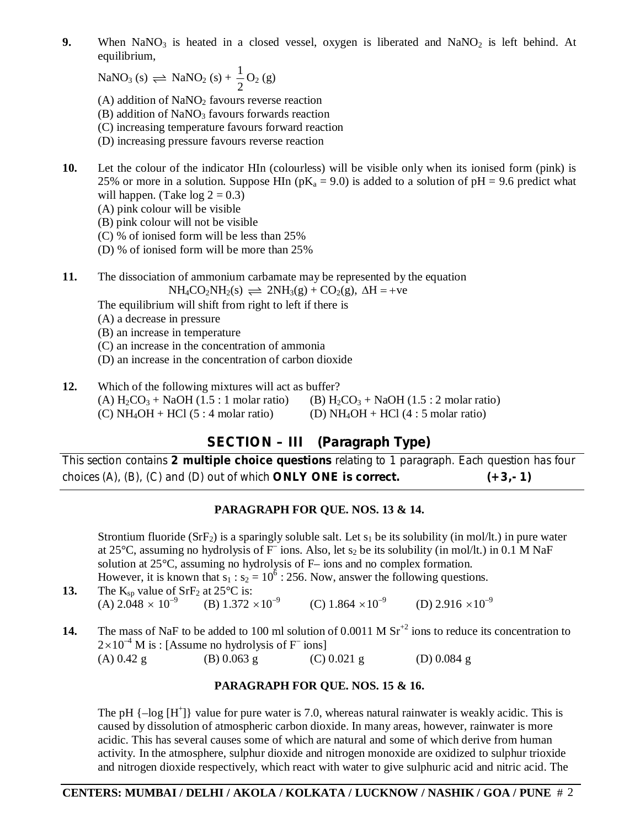**9.** When  $\text{NaNO}_3$  is heated in a closed vessel, oxygen is liberated and  $\text{NaNO}_2$  is left behind. At equilibrium,

 $\text{NaNO}_3 \text{ (s)} \rightleftharpoons \text{NaNO}_2 \text{ (s)} + \frac{1}{2}$ 2  $O_2(g)$ 

(A) addition of  $NaNO<sub>2</sub>$  favours reverse reaction

- $(B)$  addition of NaNO<sub>3</sub> favours forwards reaction
- (C) increasing temperature favours forward reaction
- (D) increasing pressure favours reverse reaction
- **10.** Let the colour of the indicator HIn (colourless) will be visible only when its ionised form (pink) is 25% or more in a solution. Suppose HIn ( $pK_a = 9.0$ ) is added to a solution of  $pH = 9.6$  predict what will happen. (Take  $log 2 = 0.3$ )
	- (A) pink colour will be visible
	- (B) pink colour will not be visible
	- (C) % of ionised form will be less than 25%
	- (D) % of ionised form will be more than 25%

**11.** The dissociation of ammonium carbamate may be represented by the equation  $NH_4CO_2NH_2(s) \rightleftharpoons 2NH_3(g) + CO_2(g)$ ,  $\Delta H = +ve$ 

The equilibrium will shift from right to left if there is

(A) a decrease in pressure

(B) an increase in temperature

(C) an increase in the concentration of ammonia

- (D) an increase in the concentration of carbon dioxide
- **12.** Which of the following mixtures will act as buffer? (A)  $H_2CO_3 + NaOH (1.5 : 1 molar ratio)$  (B)  $H_2CO_3 + NaOH (1.5 : 2 molar ratio)$ <br>(C)  $NH_4OH + HCl (5 : 4 molar ratio)$  (D)  $NH_4OH + HCl (4 : 5 molar ratio)$ (D)  $NH_4OH + HCl$  (4 : 5 molar ratio)

# **SECTION – III (Paragraph Type)**

This section contains **2 multiple choice questions** relating to 1 paragraph. Each question has four choices (A), (B), (C) and (D) out of which **ONLY ONE is correct. (+3,- 1)**

## **PARAGRAPH FOR QUE. NOS. 13 & 14.**

Strontium fluoride (SrF<sub>2</sub>) is a sparingly soluble salt. Let  $s_1$  be its solubility (in mol/lt.) in pure water at 25°C, assuming no hydrolysis of  $\overline{F}$  ions. Also, let s<sub>2</sub> be its solubility (in mol/lt.) in 0.1 M NaF solution at 25°C, assuming no hydrolysis of F– ions and no complex formation. However, it is known that  $s_1 : s_2 = 10^6 : 256$ . Now, answer the following questions.

- **13.** The K<sub>sp</sub> value of SrF<sub>2</sub> at 25<sup>o</sup>C is: (A)  $2.048 \times 10^{-9}$  (B)  $1.372 \times 10^{-9}$ (C)  $1.864 \times 10^{-9}$  (D)  $2.916 \times 10^{-9}$
- **14.** The mass of NaF to be added to 100 ml solution of 0.0011 M Sr<sup>+2</sup> ions to reduce its concentration to  $2\times10^{-4}$  M is : [Assume no hydrolysis of F<sup>–</sup> ions] (A)  $0.42 \text{ g}$  (B)  $0.063 \text{ g}$  (C)  $0.021 \text{ g}$  (D)  $0.084 \text{ g}$

### **PARAGRAPH FOR QUE. NOS. 15 & 16.**

The pH  $\{-\log [H^+] \}$  value for pure water is 7.0, whereas natural rainwater is weakly acidic. This is caused by dissolution of atmospheric carbon dioxide. In many areas, however, rainwater is more acidic. This has several causes some of which are natural and some of which derive from human activity. In the atmosphere, sulphur dioxide and nitrogen monoxide are oxidized to sulphur trioxide and nitrogen dioxide respectively, which react with water to give sulphuric acid and nitric acid. The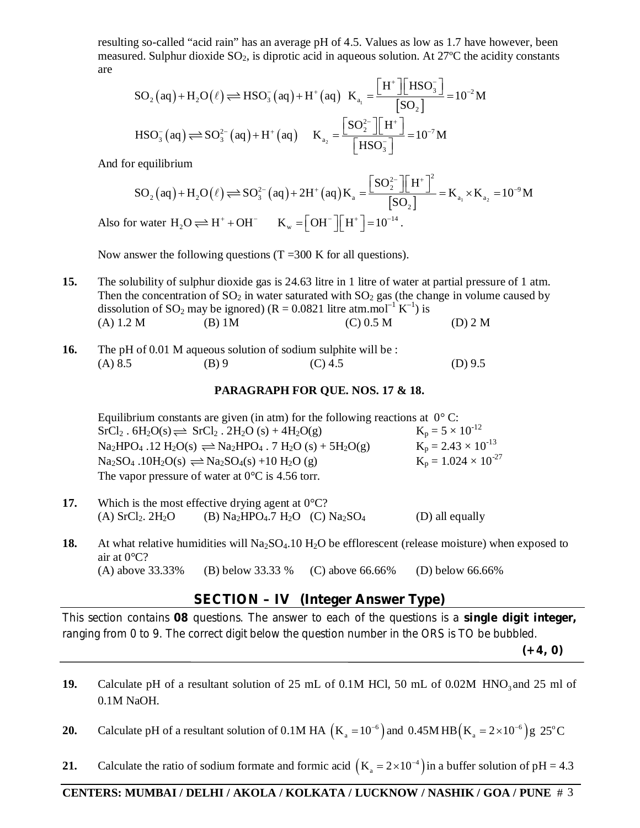resulting so-called "acid rain" has an average pH of 4.5. Values as low as 1.7 have however, been measured. Sulphur dioxide  $SO_2$ , is diprotic acid in aqueous solution. At 27 $^{\circ}$ C the acidity constants are

$$
SO_{2}(aq) + H_{2}O(\ell) \rightleftharpoons HSO_{3}^{-}(aq) + H^{+}(aq) \quad K_{a_{1}} = \frac{H^{+} \times HSO_{3}^{-}}{[SO_{2}]} = 10^{-2} M
$$
  
\n
$$
HSO_{3}^{-}(aq) \rightleftharpoons SO_{3}^{2-}(aq) + H^{+}(aq) \quad K_{a_{2}} = \frac{[SO_{2}^{2-}][H^{+}]}{[HSO_{3}^{-}]} = 10^{-7} M
$$

And for equilibrium

$$
SO_{2}(aq) + H_{2}O(\ell) \Longrightarrow SO_{3}^{2-}(aq) + 2H^{+}(aq)K_{a} = \frac{[SO_{2}^{2-}][H^{+}]^{2}}{[SO_{2}]} = K_{a_{1}} \times K_{a_{2}} = 10^{-9}M
$$
  
Also for water H<sub>2</sub>O  $\Longrightarrow$  H<sup>+</sup> + OH<sup>-</sup> K<sub>w</sub> = [OH<sup>-</sup>][H<sup>+</sup>] = 10<sup>-14</sup>.

Now answer the following questions  $(T = 300 \text{ K}$  for all questions).

- **15.** The solubility of sulphur dioxide gas is 24.63 litre in 1 litre of water at partial pressure of 1 atm. Then the concentration of  $SO_2$  in water saturated with  $SO_2$  gas (the change in volume caused by dissolution of SO<sub>2</sub> may be ignored) ( $R = 0.0821$  litre atm.mol<sup>-1</sup> K<sup>-1</sup>) is (A)  $1.2 M$  (B) 1M (C)  $0.5 M$  (D) 2 M
- **16.** The pH of 0.01 M aqueous solution of sodium sulphite will be : (A) 8.5 (B) 9 (C) 4.5 (D) 9.5

#### **PARAGRAPH FOR QUE. NOS. 17 & 18.**

Equilibrium constants are given (in atm) for the following reactions at  $0^{\circ}$  C:<br>SrCl<sub>2</sub>. 6H<sub>2</sub>O(s)  $\rightleftharpoons$  SrCl<sub>2</sub>. 2H<sub>2</sub>O (s) + 4H<sub>2</sub>O(g)  $K_p = 5 \times 10^{-12}$  $SrCl<sub>2</sub>$ .  $6H<sub>2</sub>O(s) \rightleftharpoons SrCl<sub>2</sub>$ .  $2H<sub>2</sub>O(s) + 4H<sub>2</sub>O(g)$  $\text{Na}_2\text{HPO}_4$  .12  $\text{H}_2\text{O}(s) \rightleftharpoons \text{Na}_2\text{HPO}_4$  . 7  $\text{H}_2\text{O}(s) + 5\text{H}_2\text{O}(g)$   $\text{K}_p = 2.43 \times 10^{-13}$  $\text{Na}_2\text{SO}_4$  .10H<sub>2</sub>O(s)  $\implies$  Na<sub>2</sub>SO<sub>4</sub>(s) +10 H<sub>2</sub>O (g)  $\text{K}_p = 1.024 \times 10^{-27}$ The vapor pressure of water at  $0^{\circ}$ C is 4.56 torr.

| 17. | Which is the most effective drying agent at $0^{\circ}C$ ? |                                                |  |                 |
|-----|------------------------------------------------------------|------------------------------------------------|--|-----------------|
|     | (A) $SrCl2$ , $2H2O$                                       | (B) $Na2HPO4$ .7 H <sub>2</sub> O (C) $Na2SO4$ |  | (D) all equally |

**18.** At what relative humidities will  $Na<sub>2</sub>SO<sub>4</sub>$ .10 H<sub>2</sub>O be efflorescent (release moisture) when exposed to air at 0°C? (A) above 33.33% (B) below 33.33 % (C) above 66.66% (D) below 66.66%

## **SECTION – IV (Integer Answer Type)**

This section contains **08** questions. The answer to each of the questions is a **single digit integer,** ranging from 0 to 9. The correct digit below the question number in the ORS is TO be bubbled.

**(+4, 0)**

- **19.** Calculate pH of a resultant solution of 25 mL of 0.1M HCl, 50 mL of 0.02M HNO<sub>3</sub> and 25 ml of 0.1M NaOH.
- **20.** Calculate pH of a resultant solution of 0.1M HA  $(K_a = 10^{-6})$  and 0.45M HB  $(K_a = 2 \times 10^{-6})$  g 25°C
- **21.** Calculate the ratio of sodium formate and formic acid  $(K_a = 2 \times 10^{-4})$  in a buffer solution of pH = 4.3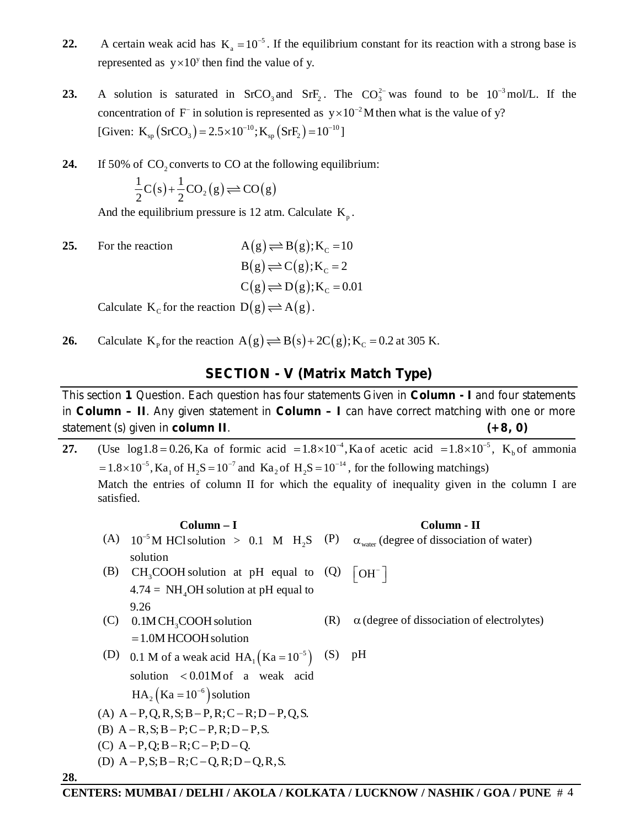- **22.** A certain weak acid has  $K_a = 10^{-5}$ . If the equilibrium constant for its reaction with a strong base is represented as  $y \times 10^y$  then find the value of y.
- **23.** A solution is saturated in SrCO<sub>3</sub> and SrF<sub>2</sub>. The  $CO_3^{2-}$  was found to be 10<sup>-3</sup> mol/L. If the concentration of F<sup>-</sup> in solution is represented as  $y \times 10^{-2}$  M then what is the value of y? [Given:  $K_{\text{sp}}(\text{SrCO}_3) = 2.5 \times 10^{-10}; K_{\text{sp}}(\text{SrF}_2) = 10^{-10}$ ]
- **24.** If 50% of  $CO_2$  converts to CO at the following equilibrium:

$$
\frac{1}{2}C(s) + \frac{1}{2}CO_2(g) \rightleftharpoons CO(g)
$$

And the equilibrium pressure is 12 atm. Calculate  $K_p$ .

**25.** For the reaction  $A(g) \rightleftharpoons B(g); K_c = 10$  $B(g) \rightleftharpoons C(g); K_c = 2$ 

$$
C(g) \rightleftharpoons D(g); K_c = 0.01
$$

Calculate  $K_c$  for the reaction  $D(g) \rightleftharpoons A(g)$ .

**28.**

**26.** Calculate  $K_p$  for the reaction  $A(g) \rightleftharpoons B(s) + 2C(g)$ ;  $K_c = 0.2$  at 305 K.

### **SECTION - V (Matrix Match Type)**

This section **1** Question. Each question has four statements Given in **Column - I** and four statements in **Column – II**. Any given statement in **Column – I** can have correct matching with one or more statement (s) given in **column II**. **(+8, 0)**

**27.** (Use  $log 1.8 = 0.26$ , Ka of formic acid  $= 1.8 \times 10^{-4}$ , Ka of acetic acid  $= 1.8 \times 10^{-5}$ , K<sub>b</sub> of ammonia  $= 1.8 \times 10^{-5}$ , Ka<sub>1</sub> of H<sub>2</sub>S = 10<sup>-7</sup> and Ka<sub>2</sub> of H<sub>2</sub>S = 10<sup>-14</sup>, for the following matchings) Match the entries of column II for which the equality of inequality given in the column I are satisfied.

## **Column – I Column - II** (A)  $10^{-5}$ M HCl solution > 0.1 M H<sub>2</sub>S (P)  $\alpha_{\text{water}}$  (degree of dissociation of water) solution (B)  $CH<sub>3</sub>COOH$  solution at pH equal to  $4.74 = NH<sub>4</sub>OH$  solution at pH equal to 9.26  $(Q)$   $[OH^-]$  $(C)$  0.1M CH<sub>3</sub>COOH solution  $=1.0M$  HCOOH solution (R)  $\alpha$  (degree of dissociation of electrolytes) (D) 0.1 M of a weak acid  $HA_1(Ka = 10^{-5})$ solution  $< 0.01M$ of a weak acid  $HA_2$  (Ka = 10<sup>-6</sup>) solution (S) pH (A)  $A-P,Q,R,S;B-P,R;C-R;D-P,Q,S.$ (B)  $A - R$ ,  $S$ ;  $B - P$ ;  $C - P$ ,  $R$ ;  $D - P$ ,  $S$ . (C)  $A-P,Q; B-R; C-P; D-Q.$ (D)  $A-P, S; B-R; C-Q, R; D-Q, R, S.$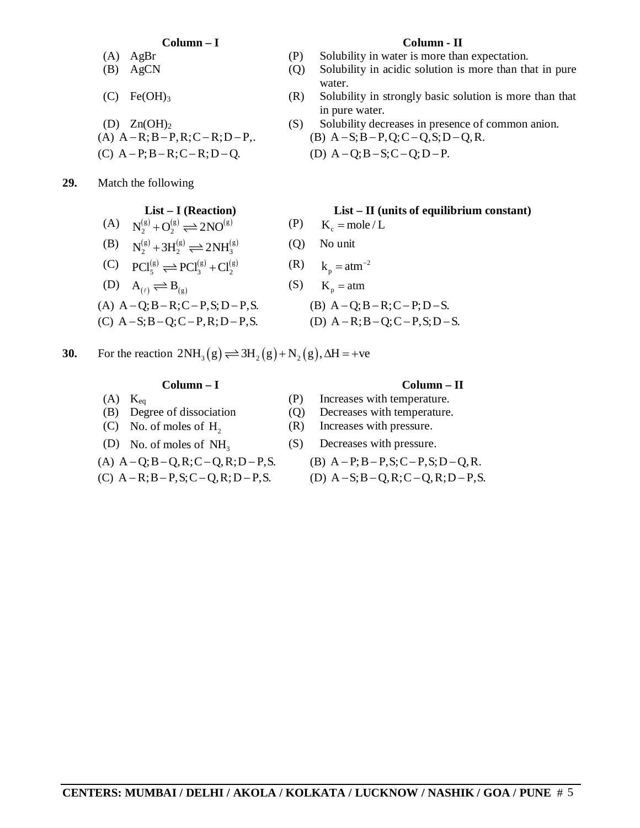- 
- 
- 
- 

**29.** Match the following

- (A)  $N_2^{(g)} + O_2^{(g)} \rightleftharpoons 2NO^{(g)}$  (P)  $K_c = \text{mole}/L$
- (B)  $N_2^{(g)} + 3H_2^{(g)} \rightleftharpoons 2NH_3^{(g)}$  (Q) No unit
- (C)  $PCl_5^{(g)} \rightleftharpoons PCl_3^{(g)} + Cl_2^{(g)}$
- (D)  $A_{(\ell)} \rightleftharpoons B_{(\varrho)}$
- (A)  $A Q$ ;  $B R$ ;  $C P$ ,  $S$ ;  $D P$ ,  $S$ . (B)  $A Q$ ;  $B R$ ;  $C P$ ;  $D S$ .
- (C)  $A-S; B-Q; C-P, R; D-P, S.$  (D)  $A-R; B-Q; C-P, S; D-S.$ 
	-

**30.** For the reaction  $2NH_3(g) \rightleftharpoons 3H_2(g) + N_2(g)$ ,  $\Delta H = +ve$ 

- 
- 
- (C) No. of moles of  $H<sub>2</sub>$
- (D) No. of moles of  $NH<sub>3</sub>$
- 
- 

#### **Column – I Column - II**

- (A) AgBr (P) Solubility in water is more than expectation.
- (B) AgCN (Q) Solubility in acidic solution is more than that in pure water.
- (C) Fe(OH)<sub>3</sub> (R) Solubility in strongly basic solution is more than that in pure water.
- (D)  $Zn(OH)_2$  (S) Solubility decreases in presence of common anion. (A)  $A - R$ ;  $B - P$ ,  $R$ ;  $C - R$ ;  $D - P$ ,. <br> (B)  $A - S$ ;  $B - P$ ,  $Q$ ;  $C - Q$ ,  $S$ ;  $D - Q$ ,  $R$ .
- (C)  $A-P; B-R; C-R; D-Q.$  (D)  $A-Q; B-S; C-Q; D-P.$

#### **List – I (Reaction) List – II (units of equilibrium constant)**

- 
- 
- (R)  $k_p = atm^{-2}$
- (S)  $K_p = atm$

#### **Column – I Column – II**

- (A)  $K_{eq}$  (P) Increases with temperature.
- (B) Degree of dissociation (Q) Decreases with temperature.
	- (R) Increases with pressure.
	- (S) Decreases with pressure.
- (A)  $A Q$ ;  $B Q$ ,  $R$ ;  $C Q$ ,  $R$ ;  $D P$ ,  $S$ . (B)  $A P$ ;  $B P$ ,  $S$ ;  $C P$ ,  $S$ ;  $D Q$ ,  $R$ .
- (C)  $A R$ ;  $B P$ ,  $S$ ;  $C Q$ ,  $R$ ;  $D P$ ,  $S$ . (D)  $A S$ ;  $B Q$ ,  $R$ ;  $C Q$ ,  $R$ ;  $D P$ ,  $S$ .